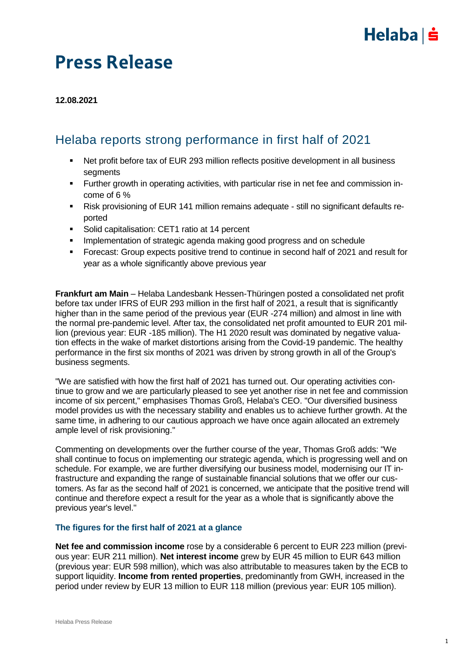## $Helaba| \dot{=}$

## Press Release

**12.08.2021**

### Helaba reports strong performance in first half of 2021

- Net profit before tax of EUR 293 million reflects positive development in all business segments
- Further growth in operating activities, with particular rise in net fee and commission income of 6 %
- Risk provisioning of EUR 141 million remains adequate still no significant defaults reported
- **Solid capitalisation: CET1 ratio at 14 percent**
- **IMPLEMENTER IMPLEMENT IMPLEMENT META** Implementation of strategic agenda making good progress and on schedule
- Forecast: Group expects positive trend to continue in second half of 2021 and result for year as a whole significantly above previous year

**Frankfurt am Main** – Helaba Landesbank Hessen-Thüringen posted a consolidated net profit before tax under IFRS of EUR 293 million in the first half of 2021, a result that is significantly higher than in the same period of the previous year (EUR -274 million) and almost in line with the normal pre-pandemic level. After tax, the consolidated net profit amounted to EUR 201 million (previous year: EUR -185 million). The H1 2020 result was dominated by negative valuation effects in the wake of market distortions arising from the Covid-19 pandemic. The healthy performance in the first six months of 2021 was driven by strong growth in all of the Group's business segments.

"We are satisfied with how the first half of 2021 has turned out. Our operating activities continue to grow and we are particularly pleased to see yet another rise in net fee and commission income of six percent," emphasises Thomas Groß, Helaba's CEO. "Our diversified business model provides us with the necessary stability and enables us to achieve further growth. At the same time, in adhering to our cautious approach we have once again allocated an extremely ample level of risk provisioning."

Commenting on developments over the further course of the year, Thomas Groß adds: "We shall continue to focus on implementing our strategic agenda, which is progressing well and on schedule. For example, we are further diversifying our business model, modernising our IT infrastructure and expanding the range of sustainable financial solutions that we offer our customers. As far as the second half of 2021 is concerned, we anticipate that the positive trend will continue and therefore expect a result for the year as a whole that is significantly above the previous year's level."

### **The figures for the first half of 2021 at a glance**

**Net fee and commission income** rose by a considerable 6 percent to EUR 223 million (previous year: EUR 211 million). **Net interest income** grew by EUR 45 million to EUR 643 million (previous year: EUR 598 million), which was also attributable to measures taken by the ECB to support liquidity. **Income from rented properties**, predominantly from GWH, increased in the period under review by EUR 13 million to EUR 118 million (previous year: EUR 105 million).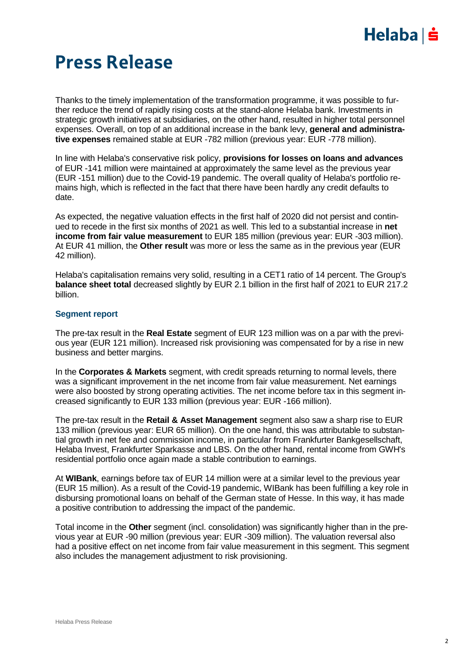## $Helaba| \dot{=}$

## Press Release

Thanks to the timely implementation of the transformation programme, it was possible to further reduce the trend of rapidly rising costs at the stand-alone Helaba bank. Investments in strategic growth initiatives at subsidiaries, on the other hand, resulted in higher total personnel expenses. Overall, on top of an additional increase in the bank levy, **general and administrative expenses** remained stable at EUR -782 million (previous year: EUR -778 million).

In line with Helaba's conservative risk policy, **provisions for losses on loans and advances** of EUR -141 million were maintained at approximately the same level as the previous year (EUR -151 million) due to the Covid-19 pandemic. The overall quality of Helaba's portfolio remains high, which is reflected in the fact that there have been hardly any credit defaults to date.

As expected, the negative valuation effects in the first half of 2020 did not persist and continued to recede in the first six months of 2021 as well. This led to a substantial increase in **net income from fair value measurement** to EUR 185 million (previous year: EUR -303 million). At EUR 41 million, the **Other result** was more or less the same as in the previous year (EUR 42 million).

Helaba's capitalisation remains very solid, resulting in a CET1 ratio of 14 percent. The Group's **balance sheet total** decreased slightly by EUR 2.1 billion in the first half of 2021 to EUR 217.2 billion.

### **Segment report**

The pre-tax result in the **Real Estate** segment of EUR 123 million was on a par with the previous year (EUR 121 million). Increased risk provisioning was compensated for by a rise in new business and better margins.

In the **Corporates & Markets** segment, with credit spreads returning to normal levels, there was a significant improvement in the net income from fair value measurement. Net earnings were also boosted by strong operating activities. The net income before tax in this segment increased significantly to EUR 133 million (previous year: EUR -166 million).

The pre-tax result in the **Retail & Asset Management** segment also saw a sharp rise to EUR 133 million (previous year: EUR 65 million). On the one hand, this was attributable to substantial growth in net fee and commission income, in particular from Frankfurter Bankgesellschaft, Helaba Invest, Frankfurter Sparkasse and LBS. On the other hand, rental income from GWH's residential portfolio once again made a stable contribution to earnings.

At **WIBank**, earnings before tax of EUR 14 million were at a similar level to the previous year (EUR 15 million). As a result of the Covid-19 pandemic, WIBank has been fulfilling a key role in disbursing promotional loans on behalf of the German state of Hesse. In this way, it has made a positive contribution to addressing the impact of the pandemic.

Total income in the **Other** segment (incl. consolidation) was significantly higher than in the previous year at EUR -90 million (previous year: EUR -309 million). The valuation reversal also had a positive effect on net income from fair value measurement in this segment. This segment also includes the management adjustment to risk provisioning.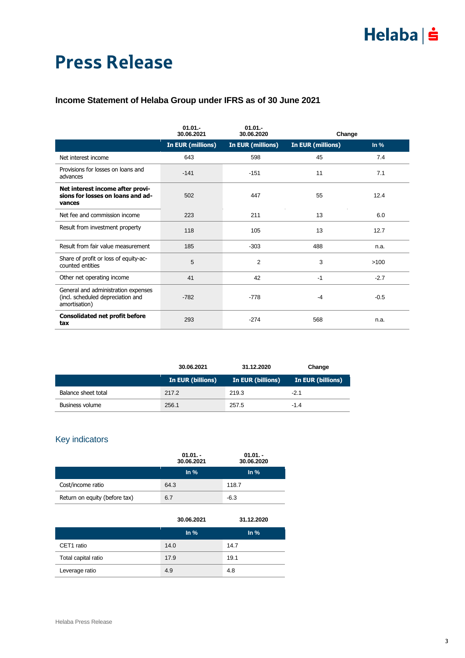# Press Release

### **Income Statement of Helaba Group under IFRS as of 30 June 2021**

|                                                                                           | $01.01 -$<br>30.06.2021  | $01.01 -$<br>30.06.2020  | Change            |        |
|-------------------------------------------------------------------------------------------|--------------------------|--------------------------|-------------------|--------|
|                                                                                           | <b>In EUR (millions)</b> | <b>In EUR (millions)</b> | In EUR (millions) | ln %   |
| Net interest income                                                                       | 643                      | 598                      | 45                | 7.4    |
| Provisions for losses on loans and<br>advances                                            | $-141$                   | $-151$                   | 11                | 7.1    |
| Net interest income after provi-<br>sions for losses on loans and ad-<br>vances           | 502                      | 447                      | 55                | 12.4   |
| Net fee and commission income                                                             | 223                      | 211                      | 13                | 6.0    |
| Result from investment property                                                           | 118                      | 105                      | 13                | 12.7   |
| Result from fair value measurement                                                        | 185                      | $-303$                   | 488               | n.a.   |
| Share of profit or loss of equity-ac-<br>counted entities                                 | 5                        | 2                        | 3                 | >100   |
| Other net operating income                                                                | 41                       | 42                       | $-1$              | $-2.7$ |
| General and administration expenses<br>(incl. scheduled depreciation and<br>amortisation) | $-782$                   | $-778$                   | $-4$              | $-0.5$ |
| <b>Consolidated net profit before</b><br>tax                                              | 293                      | $-274$                   | 568               | n.a.   |

|                        | 30.06.2021        | 31.12.2020               | Change            |
|------------------------|-------------------|--------------------------|-------------------|
|                        | In EUR (billions) | <b>In EUR (billions)</b> | In EUR (billions) |
| Balance sheet total    | 217.2             | 219.3                    | $-2.1$            |
| <b>Business volume</b> | 256.1             | 257.5                    | $-1.4$            |

### Key indicators

|                               | $01.01 -$<br>30.06.2021 | $01.01 -$<br>30.06.2020 |
|-------------------------------|-------------------------|-------------------------|
|                               | $\ln \frac{9}{6}$       | $\ln \%$                |
| Cost/income ratio             | 64.3                    | 118.7                   |
| Return on equity (before tax) | 6.7                     | $-6.3$                  |

|                     | 30.06.2021        | 31.12.2020        |
|---------------------|-------------------|-------------------|
|                     | $\ln \frac{9}{6}$ | $\ln \frac{9}{6}$ |
| CET1 ratio          | 14.0              | 14.7              |
| Total capital ratio | 17.9              | 19.1              |
| Leverage ratio      | 4.9               | 4.8               |